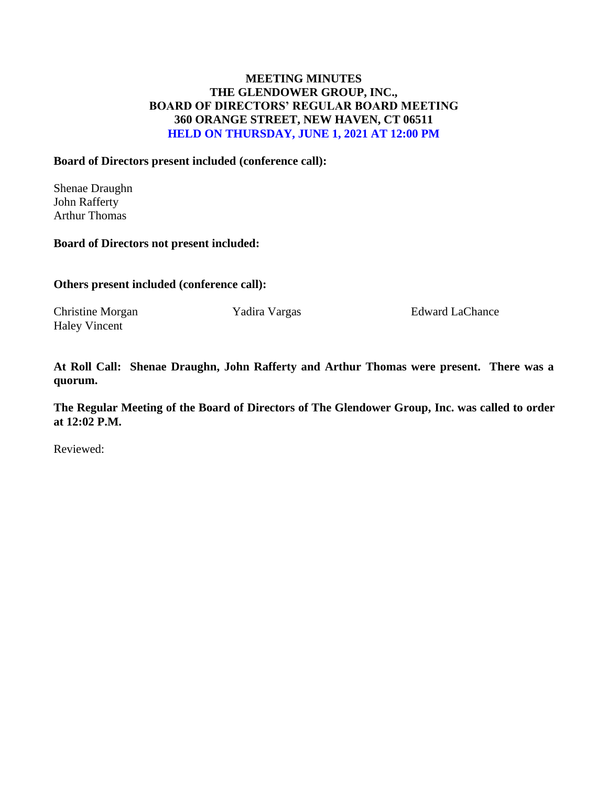# **MEETING MINUTES THE GLENDOWER GROUP, INC., BOARD OF DIRECTORS' REGULAR BOARD MEETING 360 ORANGE STREET, NEW HAVEN, CT 06511 HELD ON THURSDAY, JUNE 1, 2021 AT 12:00 PM**

### **Board of Directors present included (conference call):**

Shenae Draughn John Rafferty Arthur Thomas

#### **Board of Directors not present included:**

**Others present included (conference call):**

Haley Vincent

Christine Morgan Yadira Vargas Edward LaChance

**At Roll Call: Shenae Draughn, John Rafferty and Arthur Thomas were present. There was a quorum.** 

**The Regular Meeting of the Board of Directors of The Glendower Group, Inc. was called to order at 12:02 P.M.**

Reviewed: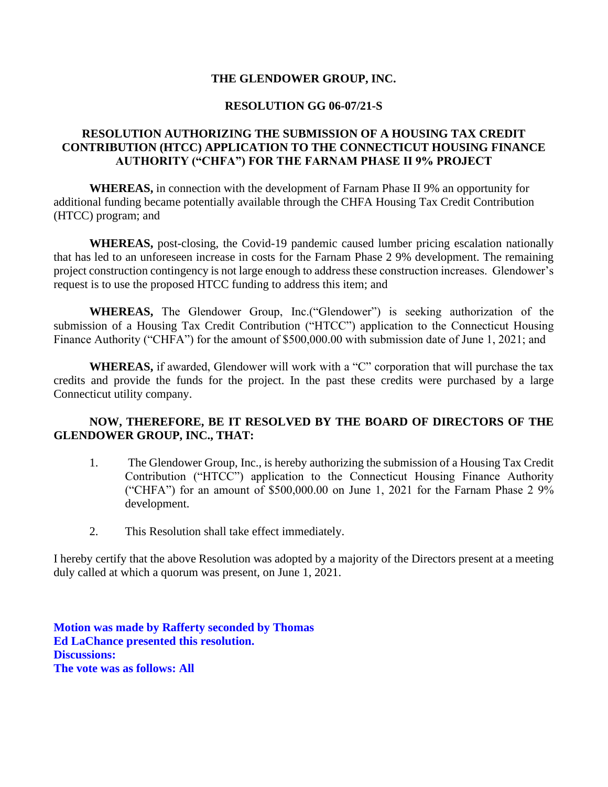### **THE GLENDOWER GROUP, INC.**

#### **RESOLUTION GG 06-07/21-S**

### **RESOLUTION AUTHORIZING THE SUBMISSION OF A HOUSING TAX CREDIT CONTRIBUTION (HTCC) APPLICATION TO THE CONNECTICUT HOUSING FINANCE AUTHORITY ("CHFA") FOR THE FARNAM PHASE II 9% PROJECT**

**WHEREAS,** in connection with the development of Farnam Phase II 9% an opportunity for additional funding became potentially available through the CHFA Housing Tax Credit Contribution (HTCC) program; and

**WHEREAS,** post-closing, the Covid-19 pandemic caused lumber pricing escalation nationally that has led to an unforeseen increase in costs for the Farnam Phase 2 9% development. The remaining project construction contingency is not large enough to address these construction increases. Glendower's request is to use the proposed HTCC funding to address this item; and

**WHEREAS,** The Glendower Group, Inc.("Glendower") is seeking authorization of the submission of a Housing Tax Credit Contribution ("HTCC") application to the Connecticut Housing Finance Authority ("CHFA") for the amount of \$500,000.00 with submission date of June 1, 2021; and

**WHEREAS,** if awarded, Glendower will work with a "C" corporation that will purchase the tax credits and provide the funds for the project. In the past these credits were purchased by a large Connecticut utility company.

## **NOW, THEREFORE, BE IT RESOLVED BY THE BOARD OF DIRECTORS OF THE GLENDOWER GROUP, INC., THAT:**

- 1. The Glendower Group, Inc., is hereby authorizing the submission of a Housing Tax Credit Contribution ("HTCC") application to the Connecticut Housing Finance Authority ("CHFA") for an amount of \$500,000.00 on June 1, 2021 for the Farnam Phase 2 9% development.
- 2. This Resolution shall take effect immediately.

I hereby certify that the above Resolution was adopted by a majority of the Directors present at a meeting duly called at which a quorum was present, on June 1, 2021.

**Motion was made by Rafferty seconded by Thomas Ed LaChance presented this resolution. Discussions: The vote was as follows: All**